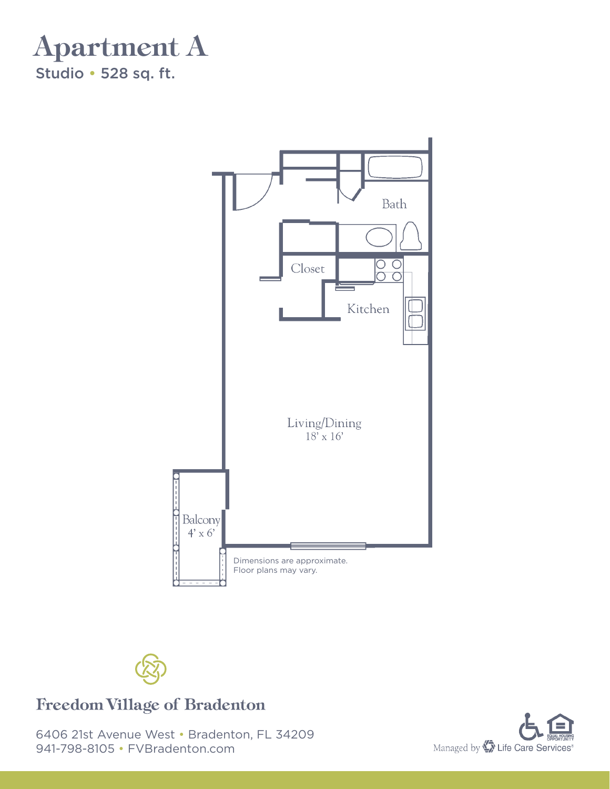





#### **Freedom Village of Bradenton**

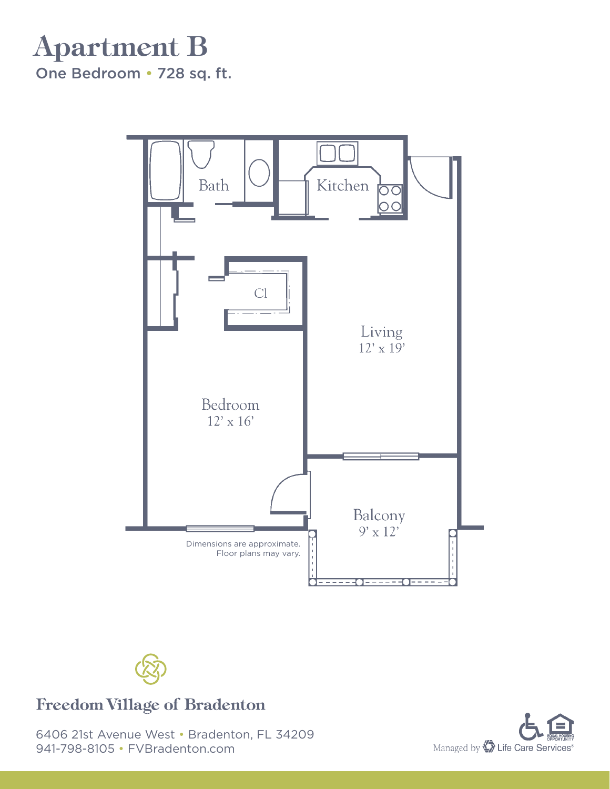# Apartment B

One Bedroom • 728 sq. ft.





#### **Freedom Village of Bradenton**

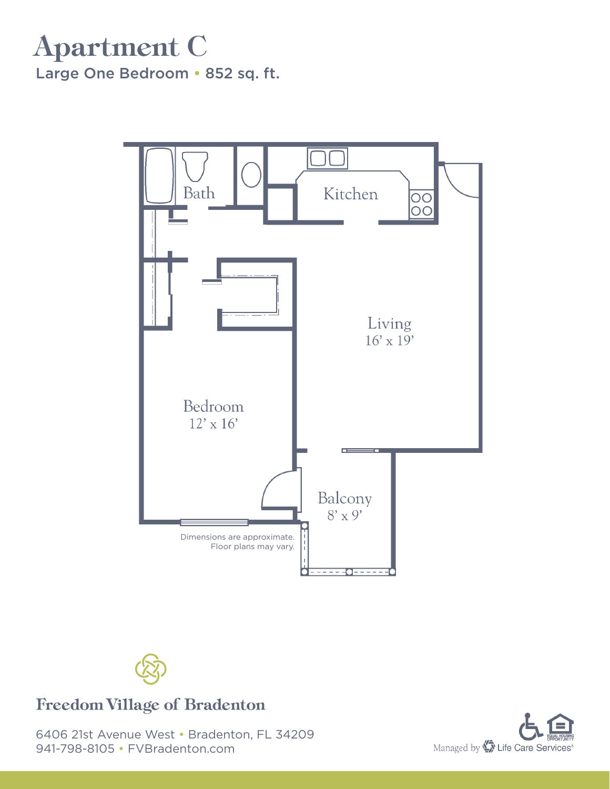### Apartment C Large One Bedroom • 852 sq. ft.





#### **Freedom Village of Bradenton**

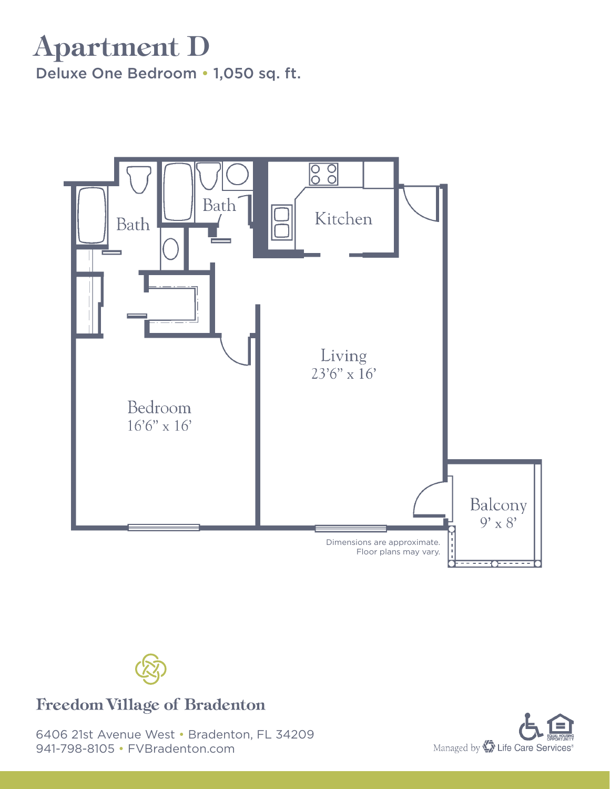### Apartment D Deluxe One Bedroom • 1,050 sq. ft.





#### **Freedom Village of Bradenton**

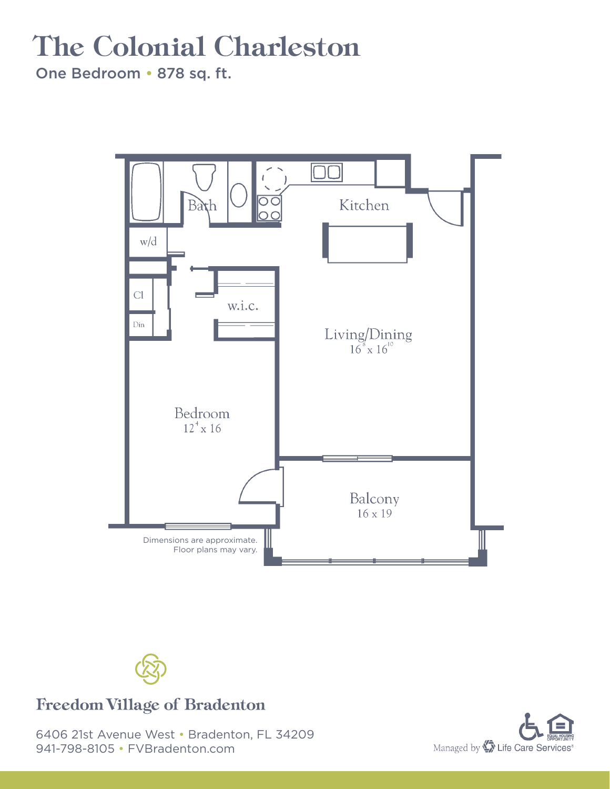# The Colonial Charleston

One Bedroom • 878 sq. ft.





#### **Freedom Village of Bradenton**

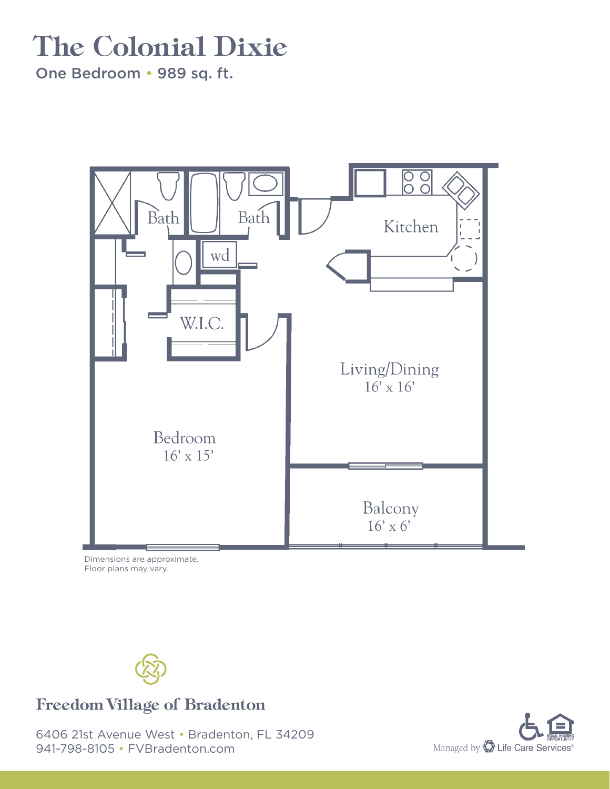# The Colonial Dixie

One Bedroom • 989 sq. ft.



Dimensions are approximate. Floor plans may vary.



#### **Freedom Village of Bradenton**

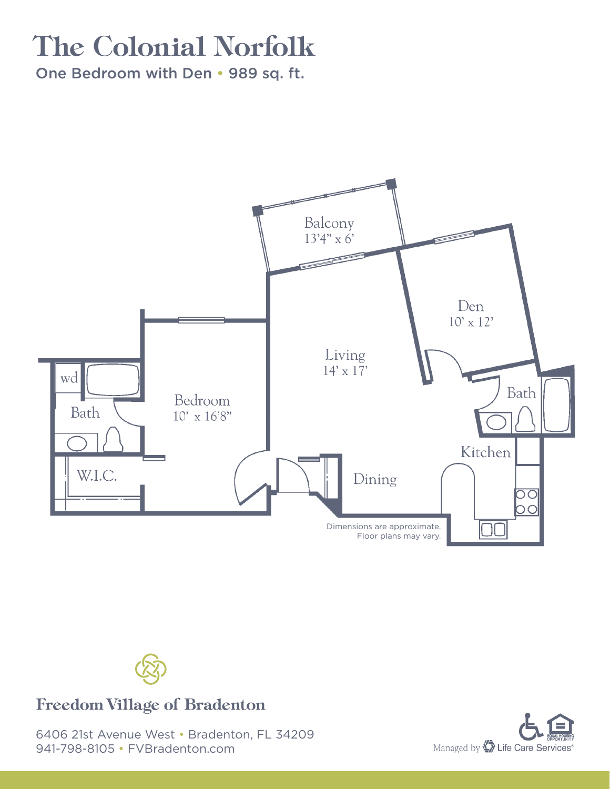### The Colonial Norfolk

One Bedroom with Den • 989 sq. ft.





#### **Freedom Village of Bradenton**

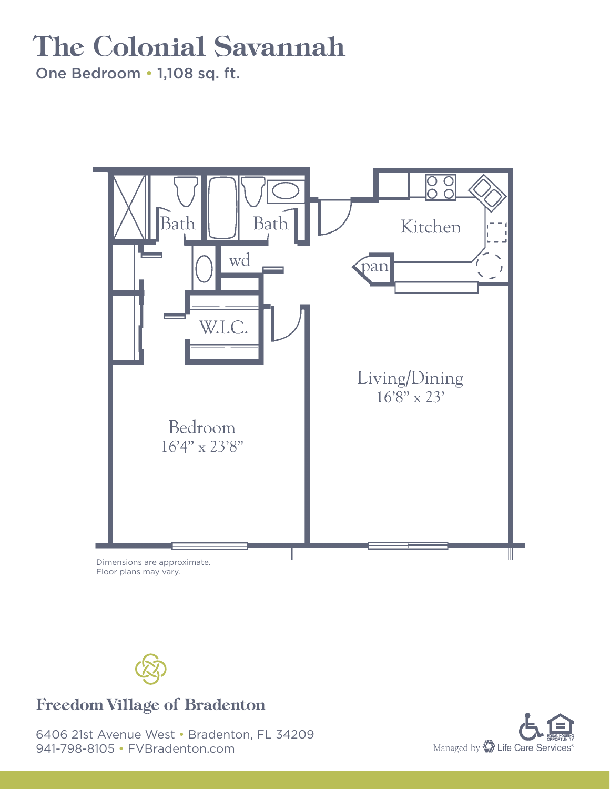### The Colonial Savannah

One Bedroom • 1,108 sq. ft.

![](_page_7_Picture_2.jpeg)

Floor plans may vary.

![](_page_7_Picture_4.jpeg)

#### **Freedom Village of Bradenton**

![](_page_7_Picture_7.jpeg)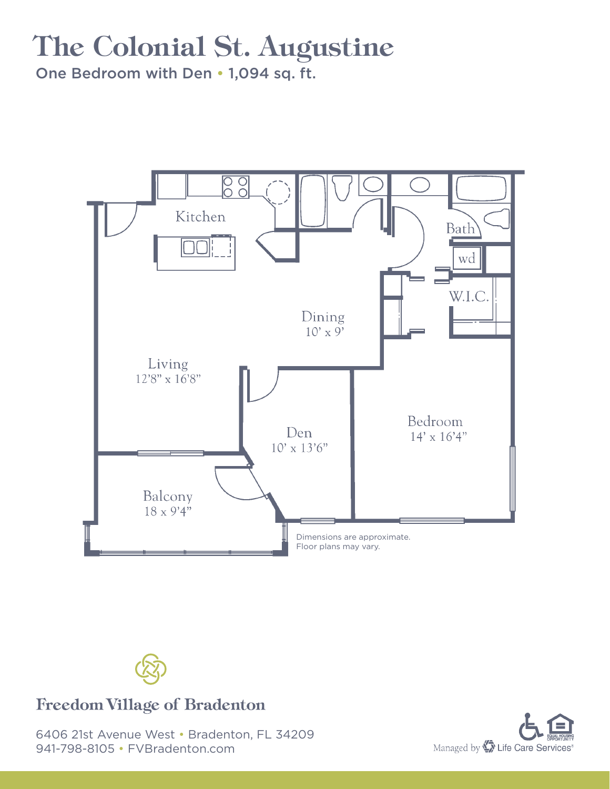### The Colonial St. Augustine

One Bedroom with Den • 1,094 sq. ft.

![](_page_8_Figure_2.jpeg)

![](_page_8_Picture_3.jpeg)

#### **Freedom Village of Bradenton**

![](_page_8_Picture_6.jpeg)